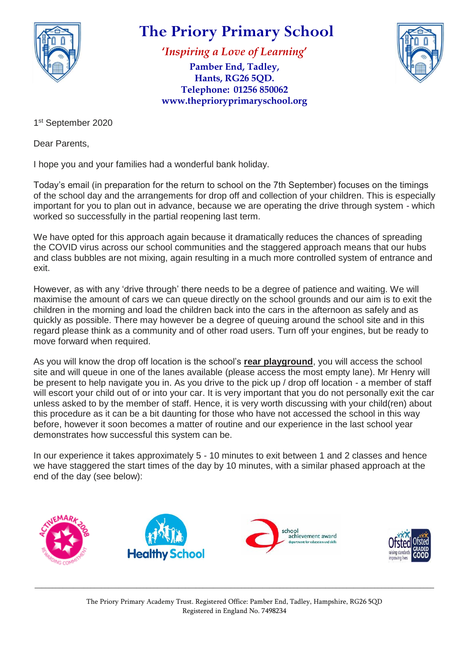

# **The Priory Primary School**

**'***Inspiring a Love of Learning***'**

**Pamber End, Tadley, Hants, RG26 5QD. Telephone: 01256 850062 www.theprioryprimaryschool.org**



1 st September 2020

Dear Parents,

I hope you and your families had a wonderful bank holiday.

Today's email (in preparation for the return to school on the 7th September) focuses on the timings of the school day and the arrangements for drop off and collection of your children. This is especially important for you to plan out in advance, because we are operating the drive through system - which worked so successfully in the partial reopening last term.

We have opted for this approach again because it dramatically reduces the chances of spreading the COVID virus across our school communities and the staggered approach means that our hubs and class bubbles are not mixing, again resulting in a much more controlled system of entrance and exit.

However, as with any 'drive through' there needs to be a degree of patience and waiting. We will maximise the amount of cars we can queue directly on the school grounds and our aim is to exit the children in the morning and load the children back into the cars in the afternoon as safely and as quickly as possible. There may however be a degree of queuing around the school site and in this regard please think as a community and of other road users. Turn off your engines, but be ready to move forward when required.

As you will know the drop off location is the school's **rear playground**, you will access the school site and will queue in one of the lanes available (please access the most empty lane). Mr Henry will be present to help navigate you in. As you drive to the pick up / drop off location - a member of staff will escort your child out of or into your car. It is very important that you do not personally exit the car unless asked to by the member of staff. Hence, it is very worth discussing with your child(ren) about this procedure as it can be a bit daunting for those who have not accessed the school in this way before, however it soon becomes a matter of routine and our experience in the last school year demonstrates how successful this system can be.

In our experience it takes approximately 5 - 10 minutes to exit between 1 and 2 classes and hence we have staggered the start times of the day by 10 minutes, with a similar phased approach at the end of the day (see below):



\_\_\_\_\_\_\_\_\_\_\_\_\_\_\_\_\_\_\_\_\_\_\_\_\_\_\_\_\_\_\_\_\_\_\_\_\_\_\_\_\_\_\_\_\_\_\_\_\_\_\_\_\_\_\_\_\_\_\_\_\_\_\_\_\_\_\_\_\_\_\_\_\_\_\_\_\_\_\_\_\_\_\_\_\_\_\_\_\_\_\_\_\_\_\_\_\_\_\_\_\_\_\_\_\_\_\_\_\_\_\_\_\_\_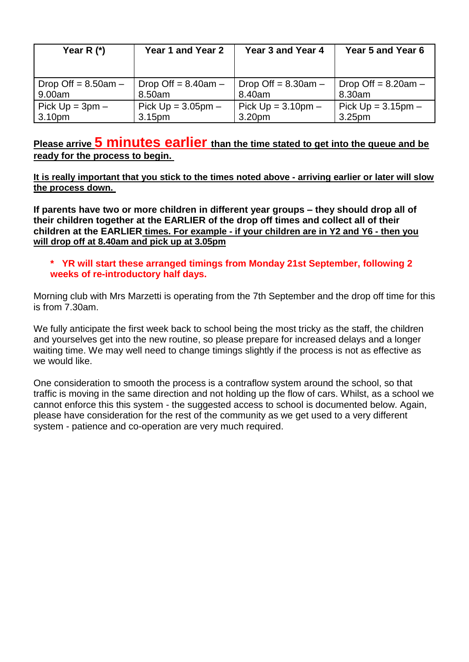| Year R $(*)$          | Year 1 and Year 2        | Year 3 and Year 4     | Year 5 and Year 6     |
|-----------------------|--------------------------|-----------------------|-----------------------|
| Drop Off = $8.50am -$ | Drop Off = $8.40$ am $-$ | Drop Off = $8.30am -$ | Drop Off = $8.20am -$ |
| 9.00am                | 8.50am                   | 8.40am                | 8.30am                |
| Pick $Up = 3pm -$     | Pick $Up = 3.05pm -$     | Pick $Up = 3.10pm -$  | Pick $Up = 3.15pm -$  |
| 3.10 <sub>pm</sub>    | 3.15 <sub>pm</sub>       | 3.20pm                | 3.25 <sub>pm</sub>    |

## **Please arrive 5 minutes earlier than the time stated to get into the queue and be ready for the process to begin.**

It is really important that you stick to the times noted above - arriving earlier or later will slow **the process down.**

**If parents have two or more children in different year groups – they should drop all of their children together at the EARLIER of the drop off times and collect all of their children at the EARLIER times. For example - if your children are in Y2 and Y6 - then you will drop off at 8.40am and pick up at 3.05pm**

#### **\* YR will start these arranged timings from Monday 21st September, following 2 weeks of re-introductory half days.**

Morning club with Mrs Marzetti is operating from the 7th September and the drop off time for this is from 7.30am.

We fully anticipate the first week back to school being the most tricky as the staff, the children and yourselves get into the new routine, so please prepare for increased delays and a longer waiting time. We may well need to change timings slightly if the process is not as effective as we would like.

One consideration to smooth the process is a contraflow system around the school, so that traffic is moving in the same direction and not holding up the flow of cars. Whilst, as a school we cannot enforce this this system - the suggested access to school is documented below. Again, please have consideration for the rest of the community as we get used to a very different system - patience and co-operation are very much required.